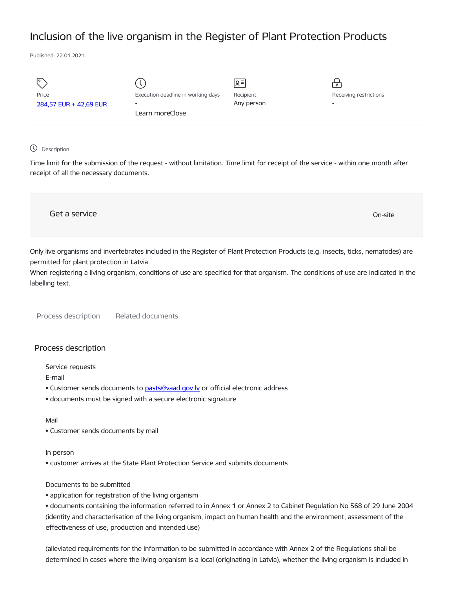# Inclusion of the live organism in the Register of Plant Protection Products

Published: 22.01.2021.

| Price<br>284,57 EUR + 42,69 EUR | Execution deadline in working days<br>$\overline{\phantom{a}}$<br>Learn moreClose | $\sqrt{5}$<br>Recipient<br>Any person | $\mathbf{P}$<br>Receiving restrictions<br>- |
|---------------------------------|-----------------------------------------------------------------------------------|---------------------------------------|---------------------------------------------|
|                                 |                                                                                   |                                       |                                             |

## Description:

Time limit for the submission of the request - without limitation. Time limit for receipt of the service - within one month after receipt of all the necessary documents.

| Get a service | On-site |
|---------------|---------|
|               |         |

Only live organisms and invertebrates included in the Register of Plant Protection Products (e.g. insects, ticks, nematodes) are permitted for plant protection in Latvia.

When registering a living organism, conditions of use are specified for that organism. The conditions of use are indicated in the labelling text.

Process description Related documents

# Process description

Service requests

E-mail

- Customer sends documents to pasts@vaad.gov.ly or official electronic address
- documents must be signed with a secure electronic signature

#### Mail

• Customer sends documents by mail

#### In person

• customer arrives at the State Plant Protection Service and submits documents

#### Documents to be submitted

• application for registration of the living organism

• documents containing the information referred to in Annex 1 or Annex 2 to Cabinet Regulation No 568 of 29 June 2004 (identity and characterisation of the living organism, impact on human health and the environment, assessment of the effectiveness of use, production and intended use)

(alleviated requirements for the information to be submitted in accordance with Annex 2 of the Regulations shall be determined in cases where the living organism is a local (originating in Latvia), whether the living organism is included in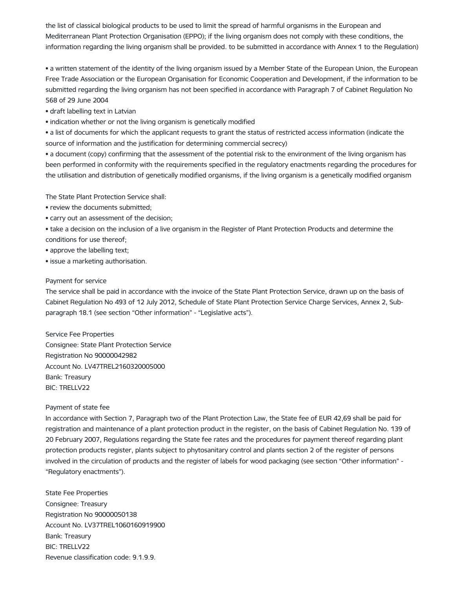the list of classical biological products to be used to limit the spread of harmful organisms in the European and Mediterranean Plant Protection Organisation (EPPO); if the living organism does not comply with these conditions, the information regarding the living organism shall be provided. to be submitted in accordance with Annex 1 to the Regulation)

• a written statement of the identity of the living organism issued by a Member State of the European Union, the European Free Trade Association or the European Organisation for Economic Cooperation and Development, if the information to be submitted regarding the living organism has not been specified in accordance with Paragraph 7 of Cabinet Regulation No 568 of 29 June 2004

• draft labelling text in Latvian

• indication whether or not the living organism is genetically modified

• a list of documents for which the applicant requests to grant the status of restricted access information (indicate the source of information and the justification for determining commercial secrecy)

• a document (copy) confirming that the assessment of the potential risk to the environment of the living organism has been performed in conformity with the requirements specified in the regulatory enactments regarding the procedures for the utilisation and distribution of genetically modified organisms, if the living organism is a genetically modified organism

The State Plant Protection Service shall:

- review the documents submitted;
- carry out an assessment of the decision;

• take a decision on the inclusion of a live organism in the Register of Plant Protection Products and determine the conditions for use thereof;

- approve the labelling text;
- issue a marketing authorisation.

## Payment for service

The service shall be paid in accordance with the invoice of the State Plant Protection Service, drawn up on the basis of Cabinet Regulation No 493 of 12 July 2012, Schedule of State Plant Protection Service Charge Services, Annex 2, Subparagraph 18.1 (see section "Other information" - "Legislative acts").

Service Fee Properties Consignee: State Plant Protection Service Registration No 90000042982 Account No. LV47TREL2160320005000 Bank: Treasury BIC: TRELLV22

#### Payment of state fee

In accordance with Section 7, Paragraph two of the Plant Protection Law, the State fee of EUR 42,69 shall be paid for registration and maintenance of a plant protection product in the register, on the basis of Cabinet Regulation No. 139 of 20 February 2007, Regulations regarding the State fee rates and the procedures for payment thereof regarding plant protection products register, plants subject to phytosanitary control and plants section 2 of the register of persons involved in the circulation of products and the register of labels for wood packaging (see section "Other information" - "Regulatory enactments").

State Fee Properties Consignee: Treasury Registration No 90000050138 Account No. LV37TREL1060160919900 Bank: Treasury BIC: TRELLV22 Revenue classification code: 9.1.9.9.